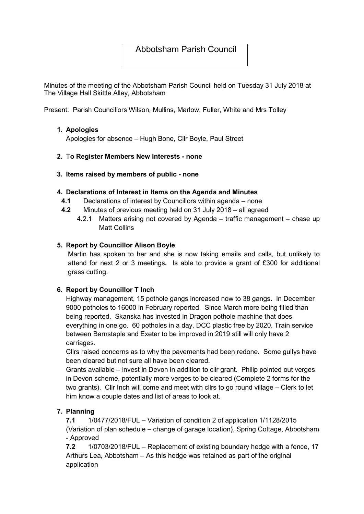# Abbotsham Parish Council

Minutes of the meeting of the Abbotsham Parish Council held on Tuesday 31 July 2018 at The Village Hall Skittle Alley, Abbotsham

Present: Parish Councillors Wilson, Mullins, Marlow, Fuller, White and Mrs Tolley

### 1. Apologies

Apologies for absence – Hugh Bone, Cllr Boyle, Paul Street

# 2. To Register Members New Interests - none

### 3. Items raised by members of public - none

### 4. Declarations of Interest in Items on the Agenda and Minutes

- 4.1 Declarations of interest by Councillors within agenda none
- 4.2 Minutes of previous meeting held on 31 July 2018 all agreed
	- 4.2.1 Matters arising not covered by Agenda traffic management chase up Matt Collins

### 5. Report by Councillor Alison Boyle

Martin has spoken to her and she is now taking emails and calls, but unlikely to attend for next 2 or 3 meetings. Is able to provide a grant of £300 for additional grass cutting.

# 6. Report by Councillor T Inch

Highway management, 15 pothole gangs increased now to 38 gangs. In December 9000 potholes to 16000 in February reported. Since March more being filled than being reported. Skanska has invested in Dragon pothole machine that does everything in one go. 60 potholes in a day. DCC plastic free by 2020. Train service between Barnstaple and Exeter to be improved in 2019 still will only have 2 carriages.

Cllrs raised concerns as to why the pavements had been redone. Some gullys have been cleared but not sure all have been cleared.

Grants available – invest in Devon in addition to cllr grant. Philip pointed out verges in Devon scheme, potentially more verges to be cleared (Complete 2 forms for the two grants). Cllr Inch will come and meet with cllrs to go round village – Clerk to let him know a couple dates and list of areas to look at.

# 7. Planning

7.1 1/0477/2018/FUL – Variation of condition 2 of application 1/1128/2015 (Variation of plan schedule – change of garage location), Spring Cottage, Abbotsham - Approved

7.2 1/0703/2018/FUL – Replacement of existing boundary hedge with a fence, 17 Arthurs Lea, Abbotsham – As this hedge was retained as part of the original application